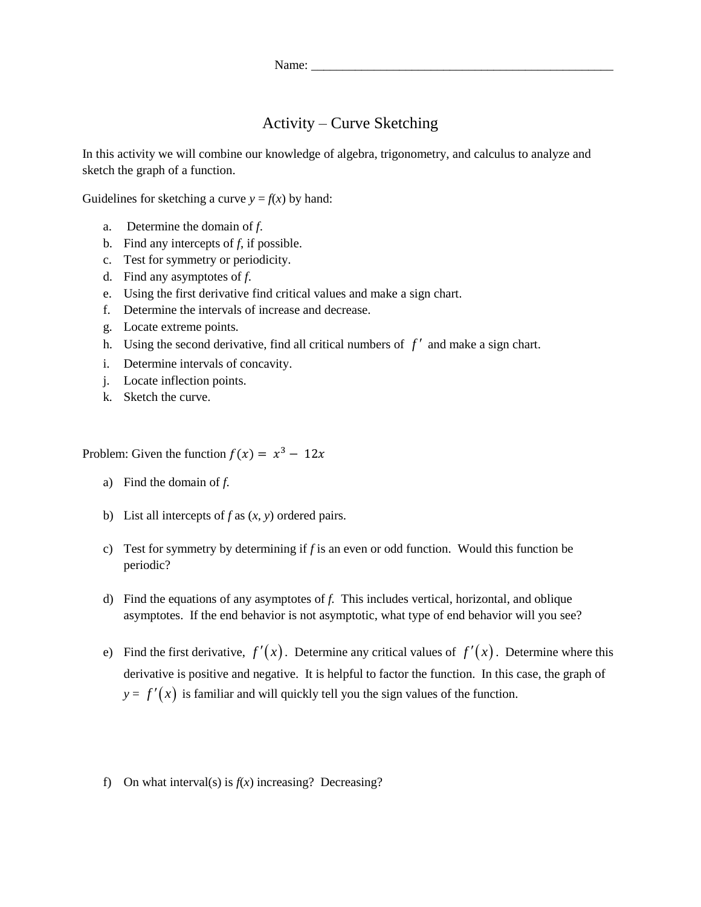## Activity – Curve Sketching

In this activity we will combine our knowledge of algebra, trigonometry, and calculus to analyze and sketch the graph of a function.

Guidelines for sketching a curve  $y = f(x)$  by hand:

- a. Determine the domain of *f*.
- b. Find any intercepts of *f*, if possible.
- c. Test for symmetry or periodicity.
- d. Find any asymptotes of *f*.
- e. Using the first derivative find critical values and make a sign chart.
- f. Determine the intervals of increase and decrease.
- g. Locate extreme points.
- h. Using the second derivative, find all critical numbers of  $f'$  and make a sign chart.
- i. Determine intervals of concavity.
- j. Locate inflection points.
- k. Sketch the curve.

Problem: Given the function  $f(x) = x^3 - 12x$ 

- a) Find the domain of *f.*
- b) List all intercepts of *f* as (*x*, *y*) ordered pairs.
- c) Test for symmetry by determining if *f* is an even or odd function. Would this function be periodic?
- d) Find the equations of any asymptotes of *f.* This includes vertical, horizontal, and oblique asymptotes. If the end behavior is not asymptotic, what type of end behavior will you see?
- e) Find the first derivative,  $f'(x)$ . Determine any critical values of  $f'(x)$ . Determine where this derivative is positive and negative. It is helpful to factor the function. In this case, the graph of  $y = f'(x)$  is familiar and will quickly tell you the sign values of the function.
- f) On what interval(s) is  $f(x)$  increasing? Decreasing?